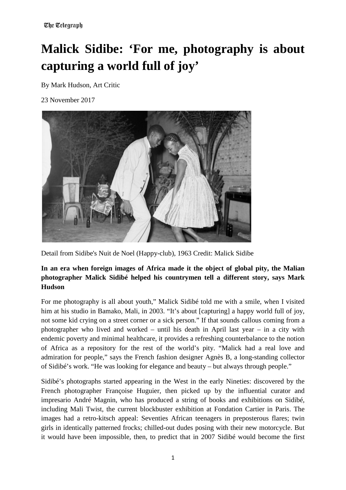# **Malick Sidibe: 'For me, photography is about capturing a world full of joy'**

By Mark Hudson, Art Critic

23 November 2017



Detail from Sidibe's Nuit de Noel (Happy-club), 1963 Credit: Malick Sidibe

# **In an era when foreign images of Africa made it the object of global pity, the Malian photographer Malick Sidibé helped his countrymen tell a different story, says Mark Hudson**

For me photography is all about youth," Malick Sidibé told me with a smile, when I visited him at his studio in Bamako, Mali, in 2003. "It's about [capturing] a happy world full of joy, not some kid crying on a street corner or a sick person." If that sounds callous coming from a photographer who lived and worked – until his death in April last year – in a city with endemic poverty and minimal healthcare, it provides a refreshing counterbalance to the notion of Africa as a repository for the rest of the world's pity. "Malick had a real love and admiration for people," says the French fashion designer Agnès B, a long-standing collector of Sidibé's work. "He was looking for elegance and beauty – but always through people."

Sidibé's photographs started appearing in the West in the early Nineties: discovered by the French photographer Françoise Huguier, then picked up by the influential curator and impresario André Magnin, who has produced a string of books and exhibitions on Sidibé, including Mali Twist, the current blockbuster exhibition at Fondation Cartier in Paris. The images had a retro-kitsch appeal: Seventies African teenagers in preposterous flares; twin girls in identically patterned frocks; chilled-out dudes posing with their new motorcycle. But it would have been impossible, then, to predict that in 2007 Sidibé would become the first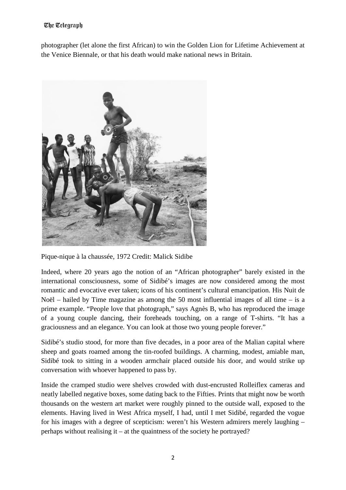#### The Telegraph

photographer (let alone the first African) to win the Golden Lion for Lifetime Achievement at the Venice Biennale, or that his [death](http://www.telegraph.co.uk/obituaries/2016/04/28/malick-sidib-photographer--obituary/) would make national news in Britain.



Pique-nique à la chaussée, 1972 Credit: Malick Sidibe

Indeed, where 20 years ago the notion of an "African photographer" barely existed in the international consciousness, some of Sidibé's images are now considered among the most romantic and evocative ever taken; icons of his continent's cultural emancipation. His Nuit de Noël – hailed by Time magazine as among the 50 most influential images of all time – is a prime example. "People love that photograph," says Agnès B, who has reproduced the image of a young couple dancing, their foreheads touching, on a range of T-shirts. "It has a graciousness and an elegance. You can look at those two young people forever."

Sidibé's studio stood, for more than five decades, in a poor area of the Malian capital where sheep and goats roamed among the tin-roofed buildings. A charming, modest, amiable man, Sidibé took to sitting in a wooden armchair placed outside his door, and would strike up conversation with whoever happened to pass by.

Inside the cramped studio were shelves crowded with dust-encrusted Rolleiflex cameras and neatly labelled negative boxes, some dating back to the Fifties. Prints that might now be worth thousands on the western art market were roughly pinned to the outside wall, exposed to the elements. Having lived in West Africa myself, I had, until I met Sidibé, regarded the vogue for his images with a degree of scepticism: weren't his Western admirers merely laughing – perhaps without realising it – at the quaintness of the society he portrayed?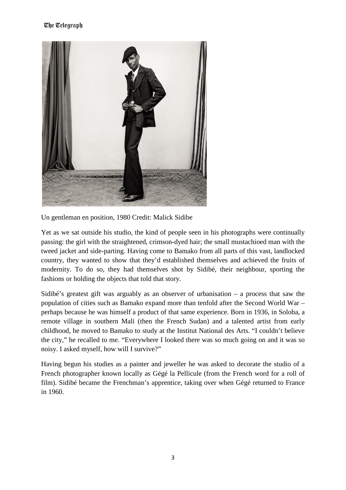#### The Telegraph



Un gentleman en position, 1980 Credit: Malick Sidibe

Yet as we sat outside his studio, the kind of people seen in his photographs were continually passing: the girl with the straightened, crimson-dyed hair; the small mustachioed man with the tweed jacket and side-parting. Having come to Bamako from all parts of this vast, landlocked country, they wanted to show that they'd established themselves and achieved the fruits of modernity. To do so, they had themselves shot by Sidibé, their neighbour, sporting the fashions or holding the objects that told that story.

Sidibé's greatest gift was arguably as an observer of urbanisation – a process that saw the population of cities such as Bamako expand more than tenfold after the Second World War – perhaps because he was himself a product of that same experience. Born in 1936, in Soloba, a remote village in southern Mali (then the French Sudan) and a talented artist from early childhood, he moved to Bamako to study at the Institut National des Arts. "I couldn't believe the city," he recalled to me. "Everywhere I looked there was so much going on and it was so noisy. I asked myself, how will I survive?"

Having begun his studies as a painter and jeweller he was asked to decorate the studio of a French photographer known locally as Gégé la Pellicule (from the French word for a roll of film). Sidibé became the Frenchman's apprentice, taking over when Gégé returned to France in 1960.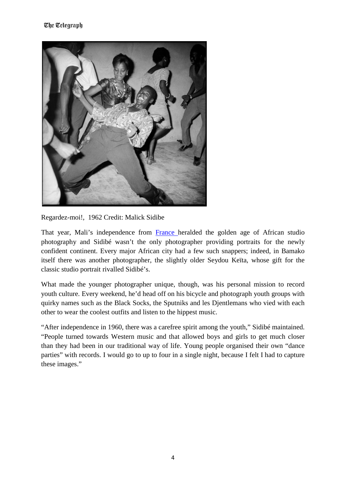

Regardez-moi!, 1962 Credit: Malick Sidibe

That year, Mali's independence from [France h](http://www.telegraph.co.uk/travel/destinations/europe/france/)eralded the golden age of African studio photography and Sidibé wasn't the only photographer providing portraits for the newly confident continent. Every major African city had a few such snappers; indeed, in Bamako itself there was another photographer, the slightly older Seydou Keïta, whose gift for the classic studio portrait rivalled Sidibé's.

What made the younger photographer unique, though, was his personal mission to record youth culture. Every weekend, he'd head off on his bicycle and photograph youth groups with quirky names such as the Black Socks, the Sputniks and les Djentlemans who vied with each other to wear the coolest outfits and listen to the hippest music.

"After independence in 1960, there was a carefree spirit among the youth," Sidibé maintained. "People turned towards Western music and that allowed boys and girls to get much closer than they had been in our traditional way of life. Young people organised their own "dance parties" with records. I would go to up to four in a single night, because I felt I had to capture these images."